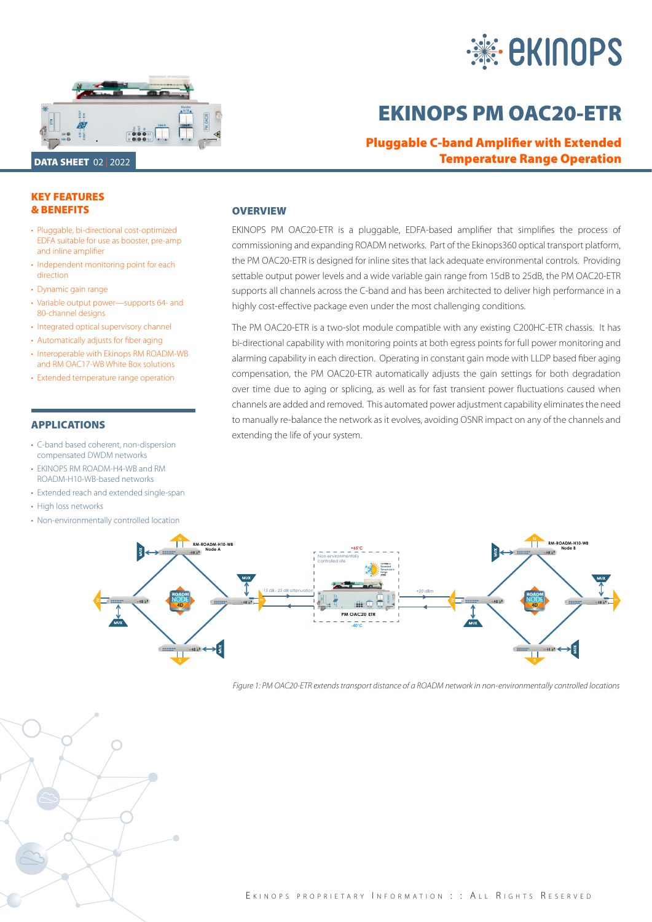



# EKINOPS PM OAC20-ETR

Pluggable C-band Amplifier with Extended Temperature Range Operation

## KEY FEATURES & BENEFITS

- Pluggable, bi-directional cost-optimized EDFA suitable for use as booster, pre-amp and inline amplifier
- Independent monitoring point for each direction
- Dynamic gain range
- Variable output power—supports 64- and 80-channel designs
- Integrated optical supervisory channel
- Automatically adjusts for fiber aging
- Interoperable with Ekinops RM ROADM-WB and RM OAC17-WB White Box solutions
- Extended temperature range operation

## APPLICATIONS

- C-band based coherent, non-dispersion compensated DWDM networks
- EKINOPS RM ROADM-H4-WB and RM ROADM-H10-WB-based networks
- Extended reach and extended single-span
- High loss networks
- Non-environmentally controlled location

## **OVERVIEW**

EKINOPS PM OAC20-ETR is a pluggable, EDFA-based amplifier that simplifies the process of commissioning and expanding ROADM networks. Part of the Ekinops360 optical transport platform, the PM OAC20-ETR is designed for inline sites that lack adequate environmental controls. Providing settable output power levels and a wide variable gain range from 15dB to 25dB, the PM OAC20-ETR supports all channels across the C-band and has been architected to deliver high performance in a highly cost-effective package even under the most challenging conditions.

The PM OAC20-ETR is a two-slot module compatible with any existing C200HC-ETR chassis. It has bi-directional capability with monitoring points at both egress points for full power monitoring and alarming capability in each direction. Operating in constant gain mode with LLDP based fiber aging compensation, the PM OAC20-ETR automatically adjusts the gain settings for both degradation over time due to aging or splicing, as well as for fast transient power fluctuations caused when channels are added and removed. This automated power adjustment capability eliminates the need to manually re-balance the network as it evolves, avoiding OSNR impact on any of the channels and extending the life of your system.



*Figure 1: PM OAC20-ETR extends transport distance of a ROADM network in non-environmentally controlled locations*